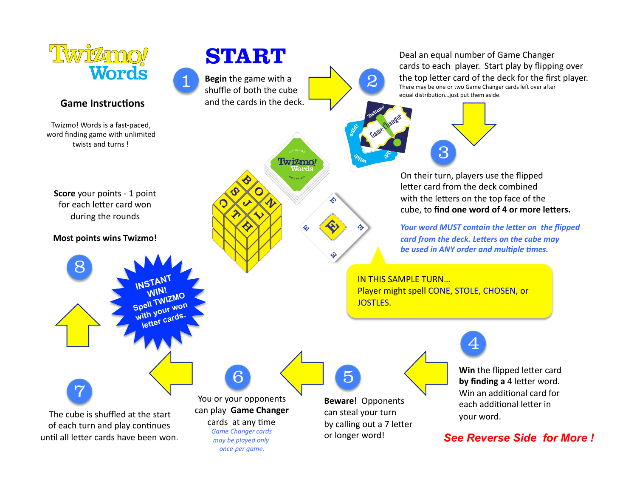